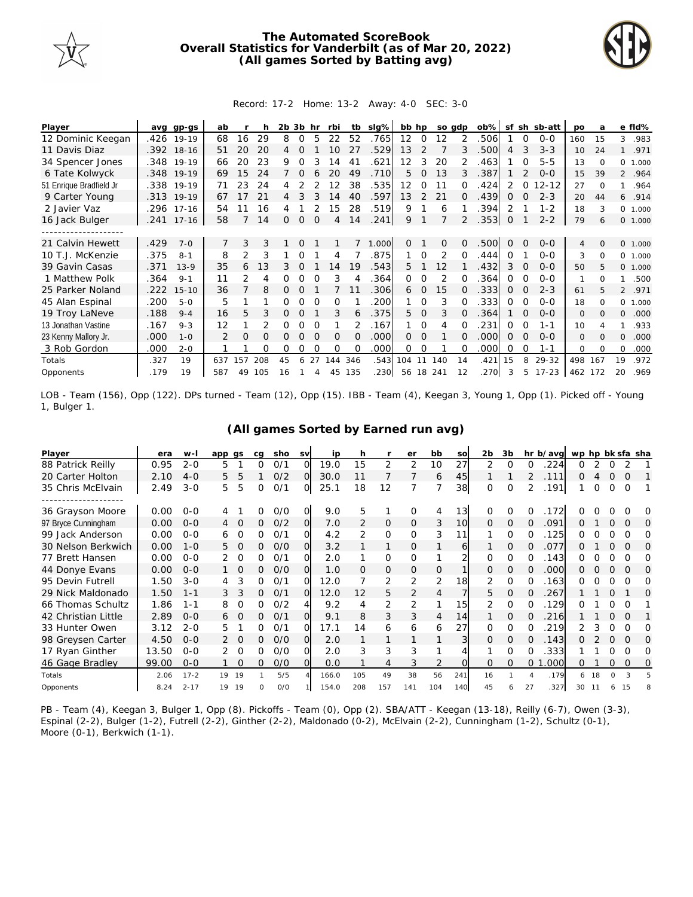

## **The Automated ScoreBook Overall Statistics for Vanderbilt (as of Mar 20, 2022) (All games Sorted by Batting avg)**



## Record: 17-2 Home: 13-2 Away: 4-0 SEC: 3-0

| Player                  |      | avg gp-gs  | ab  |    |     | 2b | 3b hr          |          | rbi      | tb       | slg%  | bb hp             |               | so gdp        |    | $ob\%$ | sf       |          | sh sb-att | <b>DO</b>    | a        |              | e fld%  |
|-------------------------|------|------------|-----|----|-----|----|----------------|----------|----------|----------|-------|-------------------|---------------|---------------|----|--------|----------|----------|-----------|--------------|----------|--------------|---------|
| 12 Dominic Keegan       | .426 | $19-19$    | 68  | 16 | 29  | 8  | $\Omega$       | 5        | 22       | 52       | .765  | $12 \overline{ }$ | $\Omega$      | 12            |    | .506   |          | $\Omega$ | $0 - 0$   | 160          | 15       | 3            | .983    |
| 11 Davis Diaz           |      | .392 18-16 | 51  | 20 | 20  | 4  |                |          |          | 27       | .529  | 13                | $\mathcal{P}$ |               | 3  | .500   | 4        | 3        | $3 - 3$   | 10           | 24       |              | .971    |
| 34 Spencer Jones        | .348 | 19-19      | 66  | 20 | 23  | 9  | Ω              | 3        | 14       | 41       | .621  | 12                | 3             | 20            |    | .463   |          |          | $5 - 5$   | 13           | $\Omega$ | 0            | 1.000   |
| 6 Tate Kolwyck          | .348 | $19-19$    | 69  | 15 | 24  |    | $\Omega$       |          | 20       | 49       | .710  | 5.                | $\Omega$      | 13            | 3  | .387   |          |          | $O-O$     | 15           | 39       |              | 2 .964  |
| 51 Enrique Bradfield Jr |      | .338 19-19 | 71  | 23 | 24  | 4  |                |          |          | 38       | .535  | 12                | 0             | 11            |    | .424   |          | $\Omega$ | $12 - 12$ | 27           | $\Omega$ |              | .964    |
| 9 Carter Young          | .313 | $19-19$    | 67  |    | 21  | 4  |                |          | 14       | 40       | .597  | 13                | $\mathcal{P}$ | 21            | 0  | .439   | 0        |          | $2 - 3$   | 20           | 44       | 6            | .914    |
| 2 Javier Vaz            | .296 | $17 - 16$  | 54  | 11 | 16  |    |                |          | 15       | 28       | .519  | 9                 |               | 6             |    | .394   | 2        |          | $1 - 2$   | 18           | 3        | $\circ$      | 1.000   |
| 16 Jack Bulger          |      | .241 17-16 | 58  |    | 14  | Ω  | $\overline{0}$ | $\Omega$ | 4        | 14       | .241  | 9                 |               |               | 2  | .353   | 0        |          | $2 - 2$   | 79           | 6        |              | 0 1.000 |
|                         |      |            |     |    |     |    |                |          |          |          |       |                   |               |               |    |        |          |          |           |              |          |              |         |
| 21 Calvin Hewett        | .429 | $7 - 0$    |     | 3  | 3   |    | $\Omega$       |          |          |          | 1.000 | 0                 |               | 0             | 0  | .500   | $\Omega$ | $\Omega$ | $O-O$     | 4            | $\Omega$ |              | 0 1.000 |
| 10 T.J. McKenzie        | .375 | $8 - 1$    | 8   | 2  | 3   |    |                |          | 4        |          | .875  |                   | $\Omega$      | $\mathcal{P}$ | 0  | .444   | 0        |          | $O-O$     | 3            | $\Omega$ | $\Omega$     | 1.000   |
| 39 Gavin Casas          | .371 | $13-9$     | 35  | 6  | 13  |    |                |          | 14       | 19       | 543   | 5.                |               | 12            |    | .432   | 3        | $\Omega$ | $0 - 0$   | 50           | 5        | $\Omega$     | 1.000   |
| 1 Matthew Polk          | .364 | $9 - 1$    | 11  | 2  | 4   | 0  | 0              |          | 3        |          | .364  | 0                 | $\Omega$      | 2             | 0  | .364   | Ω        | O        | $0 - 0$   | 1            | $\Omega$ |              | .500    |
| 25 Parker Noland        | .222 | $15 - 10$  | 36  |    | 8   | 0  | O              |          |          |          | .306  | 6                 | $\Omega$      | 15            |    | .333   | 0        | ∩        | $2 - 3$   | 61           | 5        |              | 2 .971  |
| 45 Alan Espinal         | .200 | $5-0$      | 5   |    |     |    |                |          | O        |          | 200   |                   | $\Omega$      | 3             |    | .333   | Ω        |          | $0 - 0$   | 18           | $\Omega$ | 0            | 1.000   |
| 19 Troy LaNeve          | .188 | $9 - 4$    | 16  | 5  | 3   | 0  | $\Omega$       |          | 3        | 6        | .375  | 5.                | $\Omega$      | 3             | 0  | .364   |          | $\Omega$ | $0 - 0$   | $\mathbf{O}$ | $\Omega$ | $\mathbf{O}$ | .000    |
| 13 Jonathan Vastine     | .167 | $9 - 3$    | 12  |    |     | Ω  | O              |          |          |          | .167  |                   | $\Omega$      | 4             |    | .231   | Ω        | O        | 1-1       | 10           |          |              | .933    |
| 23 Kenny Mallory Jr.    | .000 | $1 - 0$    |     | 0  | O   | Ω  | Ο              | $\Omega$ | $\Omega$ | $\Omega$ | .000  | $\Omega$          | $\Omega$      |               | 0  | .000   | $\Omega$ | $\Omega$ | $0 - 0$   | $\mathbf{O}$ | $\Omega$ | $\Omega$     | .000    |
| 3 Rob Gordon            | .000 | $2 - 0$    |     |    | O   | Ω  | O              |          | O        |          | .000  | 0                 | $\Omega$      |               |    | .000   | Ω        | ∩        | $1 - 1$   | $\Omega$     | $\Omega$ | $\Omega$     | .000    |
| Totals                  | .327 | 19         | 637 | 57 | 208 | 45 | 6              | 27       | 144      | 346      | .543  | 104               | 11            | 140           | 14 | .421   | 15       | 8        | 29-32     | 498          | 167      | 19           | .972    |
| Opponents               | .179 | 19         | 587 | 49 | 105 | 16 |                | 4        | 45       | 135      | .230  | 56                |               | 18 241        | 12 | .270   |          | 5        | $17 - 23$ | 462 172      |          | 20           | .969    |

LOB - Team (156), Opp (122). DPs turned - Team (12), Opp (15). IBB - Team (4), Keegan 3, Young 1, Opp (1). Picked off - Young 1, Bulger 1.

| Player              | era   | $W-I$    | app<br>as |          | ca | sho | <b>SV</b> | ip    | h   |                | er             | bb  | SO              | 2 <sub>b</sub> | 3b       |    | hr b/avg  | wp hp bk sfa sha |    |          |          |   |
|---------------------|-------|----------|-----------|----------|----|-----|-----------|-------|-----|----------------|----------------|-----|-----------------|----------------|----------|----|-----------|------------------|----|----------|----------|---|
| 88 Patrick Reilly   | 0.95  | $2 - 0$  | 5         |          | 0  | 0/1 | 0         | 19.0  | 15  | 2              | 2              | 10  | 27              | 2              | 0        | 0  | 224       | 0                | 2  | 0        | 2        |   |
| 20 Carter Holton    | 2.10  | $4 - 0$  | 5         | 5        |    | O/2 | O         | 30.0  |     |                |                | 6   | 45              |                |          |    | 111       | Ο                |    |          | O        |   |
| 35 Chris McElvain   | 2.49  | $3 - 0$  | 5         | 5        | Ω  | 0/1 | O         | 25.1  | 18  | 12             | $\overline{7}$ |     | 38              | $\Omega$       | 0        | 2  | .191      |                  | 0  | $\Omega$ | $\Omega$ |   |
| .                   |       |          |           |          |    |     |           |       |     |                |                |     |                 |                |          |    |           |                  |    |          |          |   |
| 36 Grayson Moore    | 0.00  | $O - O$  | 4         |          | 0  | O/O | O         | 9.0   | 5   |                | 0              | 4   | 13 <sub>l</sub> | 0              | 0        |    | .172      |                  |    |          |          | O |
| 97 Bryce Cunningham | 0.00  | $O - O$  | 4         | $\Omega$ | 0  | O/2 | O         | 7.0   | 2   | $\overline{O}$ | 0              | 3   | 10              | 0              | 0        | 0  | .091      | Ω                |    | 0        | 0        | O |
| 99 Jack Anderson    | 0.00  | $0 - 0$  | 6         | Ω        | 0  | O/1 | Ω         | 4.2   | 2   | O              | 0              | 3   | 11              |                | Ω        |    | 125       | Ω                |    |          | Ω        | O |
| 30 Nelson Berkwich  | 0.00  | $1 - 0$  | 5         | 0        | 0  | O/O | O         | 3.2   |     | 1              | 0              |     | 6               |                | 0        | 0  | .077      | O                |    | 0        | 0        | 0 |
| 77 Brett Hansen     | 0.00  | $O - O$  |           | 0        | 0  | O/1 | Ω         | 2.0   |     | 0              | 0              |     |                 | 0              | 0        | O  | 143       | 0                |    |          | $\Omega$ | O |
| 44 Donye Evans      | 0.00  | $O - O$  |           | 0        | 0  | O/O | O         | 1.0   | 0   | 0              | 0              | 0   |                 | 0              | 0        | 0  | .000      | O                |    |          | Ω        | O |
| 95 Devin Futrell    | 1.50  | $3 - 0$  | 4         | 3        | 0  | 0/1 | O         | 12.0  |     | 2              | 2              | 2   | 18              | 2              | O        |    | 163       | 0                |    |          | ∩        | O |
| 29 Nick Maldonado   | 1.50  | $1 - 1$  | 3         | 3        | 0  | 0/1 | Ω         | 12.0  | 12  | 5              | 2              | 4   |                 | 5              | 0        | 0  | 267       |                  |    | $\Omega$ |          | O |
| 66 Thomas Schultz   | 1.86  | $1 - 1$  | 8         | 0        | 0  | 0/2 | 4         | 9.2   | 4   | 2              | 2              |     | 15              | 2              | 0        | O  | 129       | Ω                |    |          |          |   |
| 42 Christian Little | 2.89  | $O - O$  | 6         | $\Omega$ | 0  | 0/1 | O         | 9.1   | 8   | 3              | 3              | 4   | 14              |                | $\Omega$ |    | 216       |                  |    | $\Omega$ | $\Omega$ |   |
| 33 Hunter Owen      | 3.12  | $2 - 0$  | 5         |          | 0  | O/1 | O         | 17.1  | 14  | 6              | 6              | 6   | 27              | 0              | 0        | 0  | 219       |                  | 3  | 0        | 0        | O |
| 98 Greysen Carter   | 4.50  | $O - O$  |           | $\Omega$ | 0  | O/O | O         | 2.0   |     |                |                |     |                 | 0              | $\Omega$ | Ω  | 143       |                  |    | $\Omega$ | $\Omega$ | O |
| 17 Ryan Ginther     | 13.50 | $0 - 0$  |           | 0        | 0  | O/O | Ω         | 2.0   | 3   | 3              | 3              |     |                 |                | 0        |    | .333      |                  |    |          | Ω        | O |
| 46 Gage Bradley     | 99.00 | $O - O$  |           | $\Omega$ | 0  | O/O | Ω         | 0.0   |     | 4              | 3              | 2   |                 | Ω              | 0        | 0  | .000<br>1 | Ω                |    | Ο        | $\Omega$ | 0 |
| Totals              | 2.06  | $17 - 2$ | 19<br>19  |          |    | 5/5 |           | 166.0 | 105 | 49             | 38             | 56  | 241             | 16             |          |    | .179      | 6                | 18 | $\Omega$ | 3        | 5 |
| Opponents           | 8.24  | $2 - 17$ | 19<br>19  |          | 0  | O/O |           | 154.0 | 208 | 157            | 141            | 104 | 140             | 45             | 6        | 27 | .327      | 30               |    | 6        | -15      |   |

**(All games Sorted by Earned run avg)**

PB - Team (4), Keegan 3, Bulger 1, Opp (8). Pickoffs - Team (0), Opp (2). SBA/ATT - Keegan (13-18), Reilly (6-7), Owen (3-3), Espinal (2-2), Bulger (1-2), Futrell (2-2), Ginther (2-2), Maldonado (0-2), McElvain (2-2), Cunningham (1-2), Schultz (0-1), Moore (0-1), Berkwich (1-1).